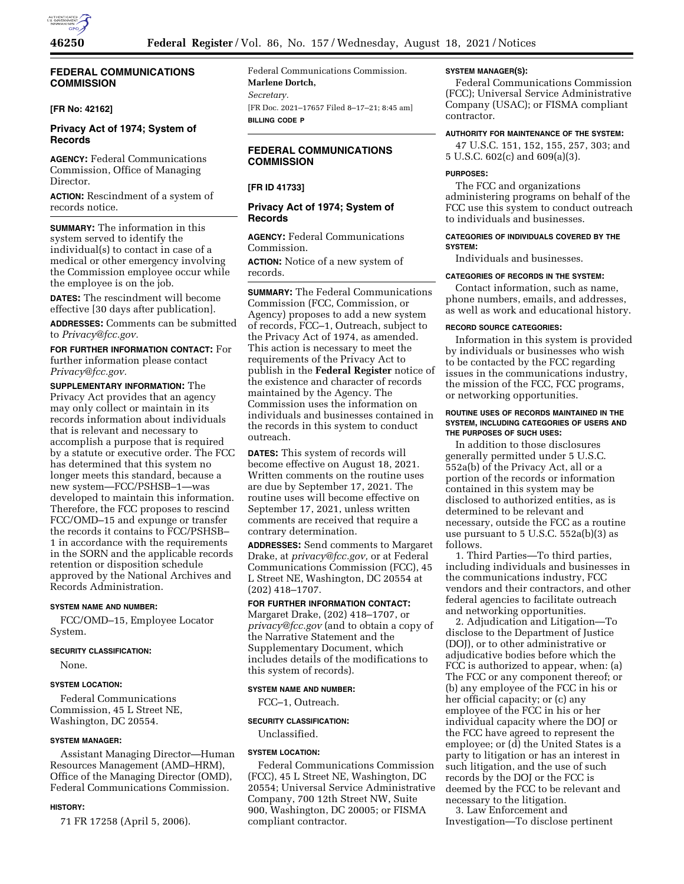

# **FEDERAL COMMUNICATIONS COMMISSION**

# **[FR No: 42162]**

# **Privacy Act of 1974; System of Records**

**AGENCY:** Federal Communications Commission, Office of Managing Director.

**ACTION:** Rescindment of a system of records notice.

**SUMMARY:** The information in this system served to identify the individual(s) to contact in case of a medical or other emergency involving the Commission employee occur while the employee is on the job.

**DATES:** The rescindment will become effective [30 days after publication].

**ADDRESSES:** Comments can be submitted to *Privacy@fcc.gov.* 

**FOR FURTHER INFORMATION CONTACT:** For further information please contact *Privacy@fcc.gov.* 

**SUPPLEMENTARY INFORMATION:** The Privacy Act provides that an agency may only collect or maintain in its records information about individuals that is relevant and necessary to accomplish a purpose that is required by a statute or executive order. The FCC has determined that this system no longer meets this standard, because a new system—FCC/PSHSB–1—was developed to maintain this information. Therefore, the FCC proposes to rescind FCC/OMD–15 and expunge or transfer the records it contains to FCC/PSHSB– 1 in accordance with the requirements in the SORN and the applicable records retention or disposition schedule approved by the National Archives and Records Administration.

# **SYSTEM NAME AND NUMBER:**

FCC/OMD–15, Employee Locator System.

#### **SECURITY CLASSIFICATION:**

None.

#### **SYSTEM LOCATION:**

Federal Communications Commission, 45 L Street NE, Washington, DC 20554.

### **SYSTEM MANAGER:**

Assistant Managing Director—Human Resources Management (AMD–HRM), Office of the Managing Director (OMD), Federal Communications Commission.

# **HISTORY:**

71 FR 17258 (April 5, 2006).

Federal Communications Commission. **Marlene Dortch,**  *Secretary.*  [FR Doc. 2021–17657 Filed 8–17–21; 8:45 am] **BILLING CODE P** 

# **FEDERAL COMMUNICATIONS COMMISSION**

### **[FR ID 41733]**

# **Privacy Act of 1974; System of Records**

**AGENCY:** Federal Communications Commission.

**ACTION:** Notice of a new system of records.

**SUMMARY:** The Federal Communications Commission (FCC, Commission, or Agency) proposes to add a new system of records, FCC–1, Outreach, subject to the Privacy Act of 1974, as amended. This action is necessary to meet the requirements of the Privacy Act to publish in the **Federal Register** notice of the existence and character of records maintained by the Agency. The Commission uses the information on individuals and businesses contained in the records in this system to conduct outreach.

**DATES:** This system of records will become effective on August 18, 2021. Written comments on the routine uses are due by September 17, 2021. The routine uses will become effective on September 17, 2021, unless written comments are received that require a contrary determination.

**ADDRESSES:** Send comments to Margaret Drake, at *privacy@fcc.gov,* or at Federal Communications Commission (FCC), 45 L Street NE, Washington, DC 20554 at (202) 418–1707.

# **FOR FURTHER INFORMATION CONTACT:**

Margaret Drake, (202) 418–1707, or *privacy@fcc.gov* (and to obtain a copy of the Narrative Statement and the Supplementary Document, which includes details of the modifications to this system of records).

#### **SYSTEM NAME AND NUMBER:**

FCC–1, Outreach.

#### **SECURITY CLASSIFICATION:**

Unclassified.

# **SYSTEM LOCATION:**

Federal Communications Commission (FCC), 45 L Street NE, Washington, DC 20554; Universal Service Administrative Company, 700 12th Street NW, Suite 900, Washington, DC 20005; or FISMA compliant contractor.

#### **SYSTEM MANAGER(S):**

Federal Communications Commission (FCC); Universal Service Administrative Company (USAC); or FISMA compliant contractor.

## **AUTHORITY FOR MAINTENANCE OF THE SYSTEM:**

47 U.S.C. 151, 152, 155, 257, 303; and 5 U.S.C. 602(c) and 609(a)(3).

#### **PURPOSES:**

The FCC and organizations administering programs on behalf of the FCC use this system to conduct outreach to individuals and businesses.

### **CATEGORIES OF INDIVIDUALS COVERED BY THE SYSTEM:**

Individuals and businesses.

# **CATEGORIES OF RECORDS IN THE SYSTEM:**

Contact information, such as name, phone numbers, emails, and addresses, as well as work and educational history.

#### **RECORD SOURCE CATEGORIES:**

Information in this system is provided by individuals or businesses who wish to be contacted by the FCC regarding issues in the communications industry, the mission of the FCC, FCC programs, or networking opportunities.

### **ROUTINE USES OF RECORDS MAINTAINED IN THE SYSTEM, INCLUDING CATEGORIES OF USERS AND THE PURPOSES OF SUCH USES:**

In addition to those disclosures generally permitted under 5 U.S.C. 552a(b) of the Privacy Act, all or a portion of the records or information contained in this system may be disclosed to authorized entities, as is determined to be relevant and necessary, outside the FCC as a routine use pursuant to 5 U.S.C. 552a(b)(3) as follows.

1. Third Parties—To third parties, including individuals and businesses in the communications industry, FCC vendors and their contractors, and other federal agencies to facilitate outreach and networking opportunities.

2. Adjudication and Litigation—To disclose to the Department of Justice (DOJ), or to other administrative or adjudicative bodies before which the FCC is authorized to appear, when: (a) The FCC or any component thereof; or (b) any employee of the FCC in his or her official capacity; or (c) any employee of the FCC in his or her individual capacity where the DOJ or the FCC have agreed to represent the employee; or (d) the United States is a party to litigation or has an interest in such litigation, and the use of such records by the DOJ or the FCC is deemed by the FCC to be relevant and necessary to the litigation.

3. Law Enforcement and Investigation—To disclose pertinent